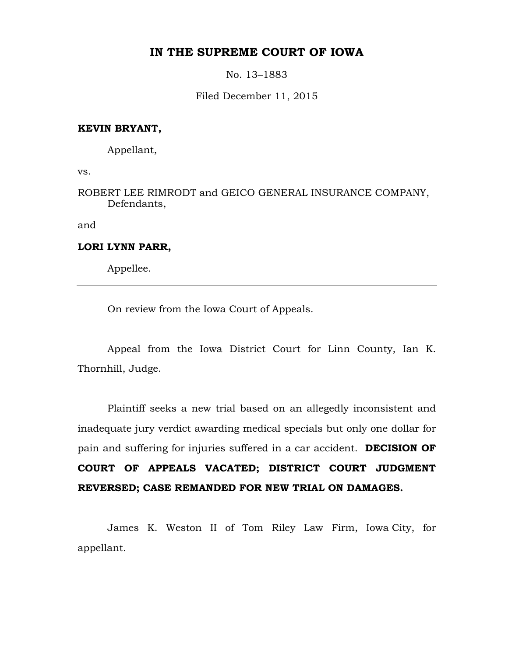## **IN THE SUPREME COURT OF IOWA**

No. 13–1883

Filed December 11, 2015

## **KEVIN BRYANT,**

Appellant,

vs.

ROBERT LEE RIMRODT and GEICO GENERAL INSURANCE COMPANY, Defendants,

and

### **LORI LYNN PARR,**

Appellee.

On review from the Iowa Court of Appeals.

Appeal from the Iowa District Court for Linn County, Ian K. Thornhill, Judge.

Plaintiff seeks a new trial based on an allegedly inconsistent and inadequate jury verdict awarding medical specials but only one dollar for pain and suffering for injuries suffered in a car accident. **DECISION OF COURT OF APPEALS VACATED; DISTRICT COURT JUDGMENT REVERSED; CASE REMANDED FOR NEW TRIAL ON DAMAGES.** 

James K. Weston II of Tom Riley Law Firm, Iowa City, for appellant.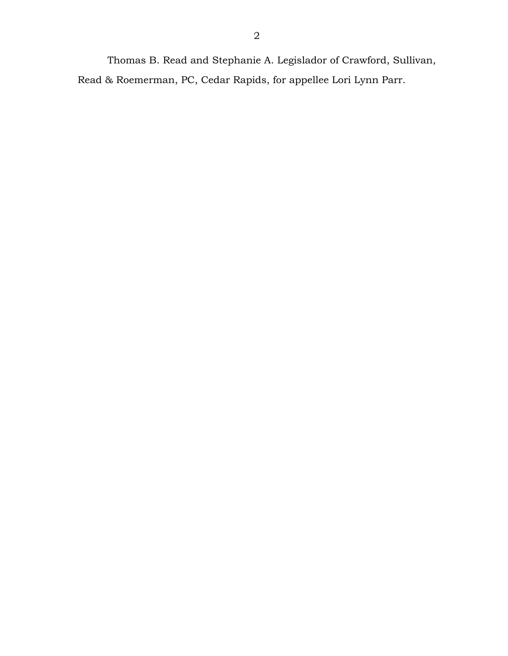Thomas B. Read and Stephanie A. Legislador of Crawford, Sullivan, Read & Roemerman, PC, Cedar Rapids, for appellee Lori Lynn Parr.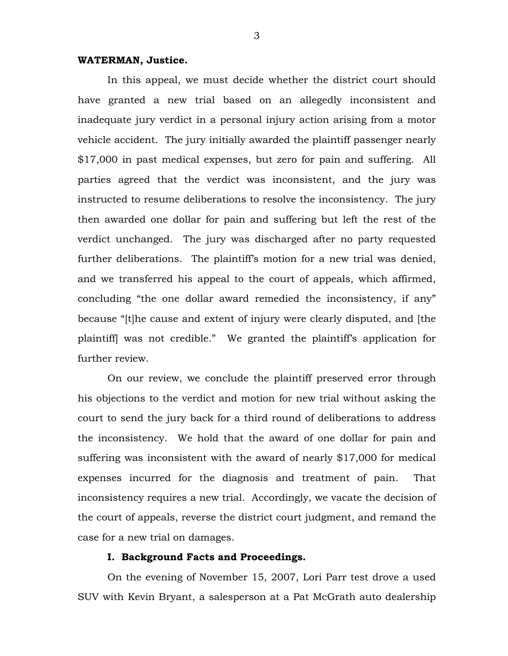### **WATERMAN, Justice.**

In this appeal, we must decide whether the district court should have granted a new trial based on an allegedly inconsistent and inadequate jury verdict in a personal injury action arising from a motor vehicle accident. The jury initially awarded the plaintiff passenger nearly \$17,000 in past medical expenses, but zero for pain and suffering. All parties agreed that the verdict was inconsistent, and the jury was instructed to resume deliberations to resolve the inconsistency. The jury then awarded one dollar for pain and suffering but left the rest of the verdict unchanged. The jury was discharged after no party requested further deliberations. The plaintiff's motion for a new trial was denied, and we transferred his appeal to the court of appeals, which affirmed, concluding "the one dollar award remedied the inconsistency, if any" because "[t]he cause and extent of injury were clearly disputed, and [the plaintiff] was not credible." We granted the plaintiff's application for further review.

On our review, we conclude the plaintiff preserved error through his objections to the verdict and motion for new trial without asking the court to send the jury back for a third round of deliberations to address the inconsistency. We hold that the award of one dollar for pain and suffering was inconsistent with the award of nearly \$17,000 for medical expenses incurred for the diagnosis and treatment of pain. That inconsistency requires a new trial. Accordingly, we vacate the decision of the court of appeals, reverse the district court judgment, and remand the case for a new trial on damages.

### **I. Background Facts and Proceedings.**

On the evening of November 15, 2007, Lori Parr test drove a used SUV with Kevin Bryant, a salesperson at a Pat McGrath auto dealership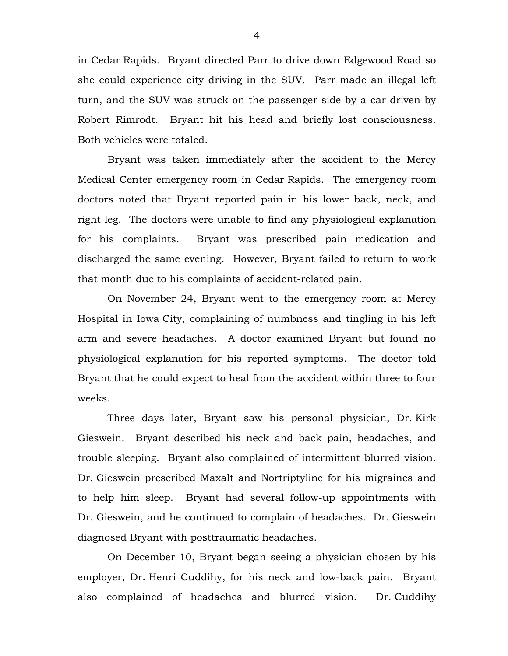in Cedar Rapids. Bryant directed Parr to drive down Edgewood Road so she could experience city driving in the SUV. Parr made an illegal left turn, and the SUV was struck on the passenger side by a car driven by Robert Rimrodt. Bryant hit his head and briefly lost consciousness. Both vehicles were totaled.

Bryant was taken immediately after the accident to the Mercy Medical Center emergency room in Cedar Rapids. The emergency room doctors noted that Bryant reported pain in his lower back, neck, and right leg. The doctors were unable to find any physiological explanation for his complaints. Bryant was prescribed pain medication and discharged the same evening. However, Bryant failed to return to work that month due to his complaints of accident-related pain.

On November 24, Bryant went to the emergency room at Mercy Hospital in Iowa City, complaining of numbness and tingling in his left arm and severe headaches. A doctor examined Bryant but found no physiological explanation for his reported symptoms. The doctor told Bryant that he could expect to heal from the accident within three to four weeks.

Three days later, Bryant saw his personal physician, Dr. Kirk Gieswein. Bryant described his neck and back pain, headaches, and trouble sleeping. Bryant also complained of intermittent blurred vision. Dr. Gieswein prescribed Maxalt and Nortriptyline for his migraines and to help him sleep. Bryant had several follow-up appointments with Dr. Gieswein, and he continued to complain of headaches. Dr. Gieswein diagnosed Bryant with posttraumatic headaches.

On December 10, Bryant began seeing a physician chosen by his employer, Dr. Henri Cuddihy, for his neck and low-back pain. Bryant also complained of headaches and blurred vision. Dr. Cuddihy

4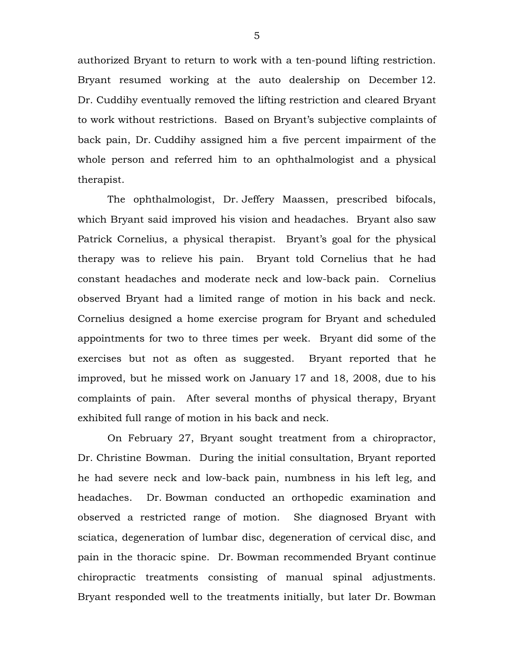authorized Bryant to return to work with a ten-pound lifting restriction. Bryant resumed working at the auto dealership on December 12. Dr. Cuddihy eventually removed the lifting restriction and cleared Bryant to work without restrictions. Based on Bryant's subjective complaints of back pain, Dr. Cuddihy assigned him a five percent impairment of the whole person and referred him to an ophthalmologist and a physical therapist.

The ophthalmologist, Dr. Jeffery Maassen, prescribed bifocals, which Bryant said improved his vision and headaches. Bryant also saw Patrick Cornelius, a physical therapist. Bryant's goal for the physical therapy was to relieve his pain. Bryant told Cornelius that he had constant headaches and moderate neck and low-back pain. Cornelius observed Bryant had a limited range of motion in his back and neck. Cornelius designed a home exercise program for Bryant and scheduled appointments for two to three times per week. Bryant did some of the exercises but not as often as suggested. Bryant reported that he improved, but he missed work on January 17 and 18, 2008, due to his complaints of pain. After several months of physical therapy, Bryant exhibited full range of motion in his back and neck.

On February 27, Bryant sought treatment from a chiropractor, Dr. Christine Bowman. During the initial consultation, Bryant reported he had severe neck and low-back pain, numbness in his left leg, and headaches. Dr. Bowman conducted an orthopedic examination and observed a restricted range of motion. She diagnosed Bryant with sciatica, degeneration of lumbar disc, degeneration of cervical disc, and pain in the thoracic spine. Dr. Bowman recommended Bryant continue chiropractic treatments consisting of manual spinal adjustments. Bryant responded well to the treatments initially, but later Dr. Bowman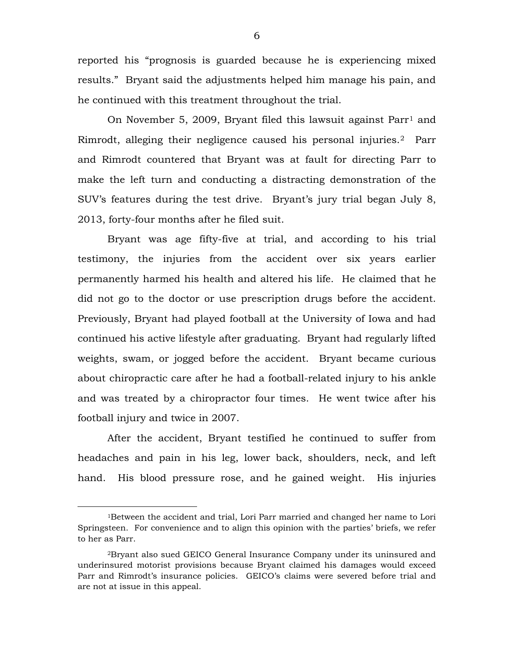reported his "prognosis is guarded because he is experiencing mixed results." Bryant said the adjustments helped him manage his pain, and he continued with this treatment throughout the trial.

On November 5, 2009, Bryant filed this lawsuit against Parr<sup>[1](#page-5-0)</sup> and Rimrodt, alleging their negligence caused his personal injuries.[2](#page-5-1) Parr and Rimrodt countered that Bryant was at fault for directing Parr to make the left turn and conducting a distracting demonstration of the SUV's features during the test drive. Bryant's jury trial began July 8, 2013, forty-four months after he filed suit.

Bryant was age fifty-five at trial, and according to his trial testimony, the injuries from the accident over six years earlier permanently harmed his health and altered his life. He claimed that he did not go to the doctor or use prescription drugs before the accident. Previously, Bryant had played football at the University of Iowa and had continued his active lifestyle after graduating. Bryant had regularly lifted weights, swam, or jogged before the accident. Bryant became curious about chiropractic care after he had a football-related injury to his ankle and was treated by a chiropractor four times. He went twice after his football injury and twice in 2007.

After the accident, Bryant testified he continued to suffer from headaches and pain in his leg, lower back, shoulders, neck, and left hand. His blood pressure rose, and he gained weight. His injuries

 $\overline{a}$ 

<span id="page-5-0"></span><sup>1</sup>Between the accident and trial, Lori Parr married and changed her name to Lori Springsteen. For convenience and to align this opinion with the parties' briefs, we refer to her as Parr.

<span id="page-5-1"></span><sup>2</sup>Bryant also sued GEICO General Insurance Company under its uninsured and underinsured motorist provisions because Bryant claimed his damages would exceed Parr and Rimrodt's insurance policies. GEICO's claims were severed before trial and are not at issue in this appeal.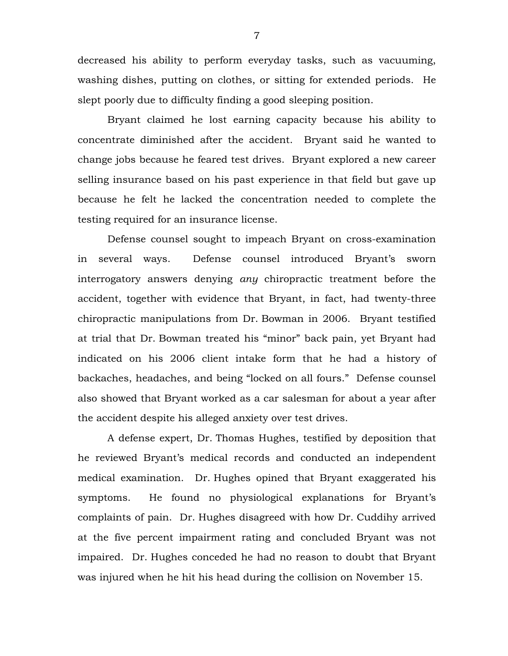decreased his ability to perform everyday tasks, such as vacuuming, washing dishes, putting on clothes, or sitting for extended periods. He slept poorly due to difficulty finding a good sleeping position.

Bryant claimed he lost earning capacity because his ability to concentrate diminished after the accident. Bryant said he wanted to change jobs because he feared test drives. Bryant explored a new career selling insurance based on his past experience in that field but gave up because he felt he lacked the concentration needed to complete the testing required for an insurance license.

Defense counsel sought to impeach Bryant on cross-examination in several ways. Defense counsel introduced Bryant's sworn interrogatory answers denying *any* chiropractic treatment before the accident, together with evidence that Bryant, in fact, had twenty-three chiropractic manipulations from Dr. Bowman in 2006. Bryant testified at trial that Dr. Bowman treated his "minor" back pain, yet Bryant had indicated on his 2006 client intake form that he had a history of backaches, headaches, and being "locked on all fours." Defense counsel also showed that Bryant worked as a car salesman for about a year after the accident despite his alleged anxiety over test drives.

A defense expert, Dr. Thomas Hughes, testified by deposition that he reviewed Bryant's medical records and conducted an independent medical examination. Dr. Hughes opined that Bryant exaggerated his symptoms. He found no physiological explanations for Bryant's complaints of pain. Dr. Hughes disagreed with how Dr. Cuddihy arrived at the five percent impairment rating and concluded Bryant was not impaired. Dr. Hughes conceded he had no reason to doubt that Bryant was injured when he hit his head during the collision on November 15.

7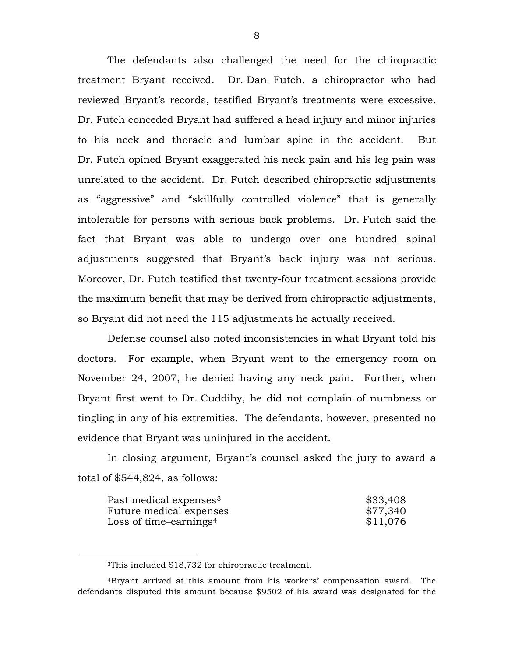The defendants also challenged the need for the chiropractic treatment Bryant received. Dr. Dan Futch, a chiropractor who had reviewed Bryant's records, testified Bryant's treatments were excessive. Dr. Futch conceded Bryant had suffered a head injury and minor injuries to his neck and thoracic and lumbar spine in the accident. But Dr. Futch opined Bryant exaggerated his neck pain and his leg pain was unrelated to the accident. Dr. Futch described chiropractic adjustments as "aggressive" and "skillfully controlled violence" that is generally intolerable for persons with serious back problems. Dr. Futch said the fact that Bryant was able to undergo over one hundred spinal adjustments suggested that Bryant's back injury was not serious. Moreover, Dr. Futch testified that twenty-four treatment sessions provide the maximum benefit that may be derived from chiropractic adjustments, so Bryant did not need the 115 adjustments he actually received.

Defense counsel also noted inconsistencies in what Bryant told his doctors. For example, when Bryant went to the emergency room on November 24, 2007, he denied having any neck pain. Further, when Bryant first went to Dr. Cuddihy, he did not complain of numbness or tingling in any of his extremities. The defendants, however, presented no evidence that Bryant was uninjured in the accident.

In closing argument, Bryant's counsel asked the jury to award a total of \$544,824, as follows:

| Past medical expenses <sup>3</sup> | \$33,408 |
|------------------------------------|----------|
| Future medical expenses            | \$77,340 |
| Loss of time-earnings <sup>4</sup> | \$11,076 |

<sup>3</sup>This included \$18,732 for chiropractic treatment.

<span id="page-7-0"></span> $\overline{a}$ 

<span id="page-7-1"></span><sup>4</sup>Bryant arrived at this amount from his workers' compensation award. The defendants disputed this amount because \$9502 of his award was designated for the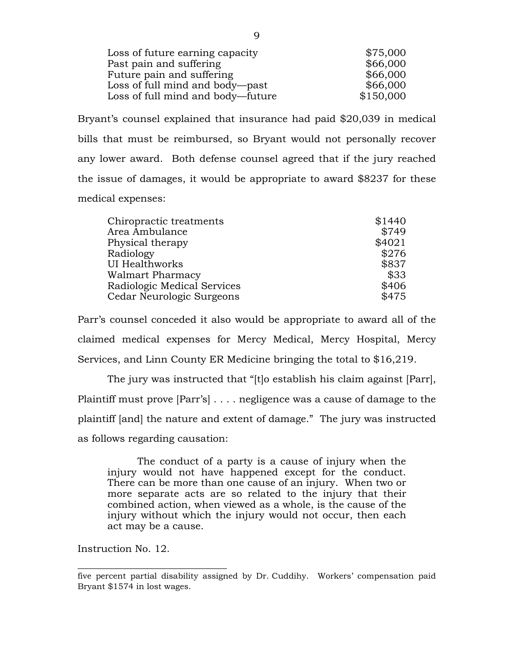| Loss of future earning capacity   | \$75,000  |
|-----------------------------------|-----------|
| Past pain and suffering           | \$66,000  |
| Future pain and suffering         | \$66,000  |
| Loss of full mind and body—past   | \$66,000  |
| Loss of full mind and body—future | \$150,000 |
|                                   |           |

Bryant's counsel explained that insurance had paid \$20,039 in medical bills that must be reimbursed, so Bryant would not personally recover any lower award. Both defense counsel agreed that if the jury reached the issue of damages, it would be appropriate to award \$8237 for these medical expenses:

|                             | \$749  |
|-----------------------------|--------|
| Area Ambulance              |        |
| Physical therapy            | \$4021 |
| Radiology                   | \$276  |
| <b>UI Healthworks</b>       | \$837  |
| Walmart Pharmacy            | \$33   |
| Radiologic Medical Services | \$406  |
| Cedar Neurologic Surgeons   | \$475  |

Parr's counsel conceded it also would be appropriate to award all of the claimed medical expenses for Mercy Medical, Mercy Hospital, Mercy Services, and Linn County ER Medicine bringing the total to \$16,219.

The jury was instructed that "[t]o establish his claim against [Parr], Plaintiff must prove [Parr's] . . . . negligence was a cause of damage to the plaintiff [and] the nature and extent of damage." The jury was instructed as follows regarding causation:

The conduct of a party is a cause of injury when the injury would not have happened except for the conduct. There can be more than one cause of an injury. When two or more separate acts are so related to the injury that their combined action, when viewed as a whole, is the cause of the injury without which the injury would not occur, then each act may be a cause.

Instruction No. 12.

 $\_$ 

five percent partial disability assigned by Dr. Cuddihy. Workers' compensation paid Bryant \$1574 in lost wages.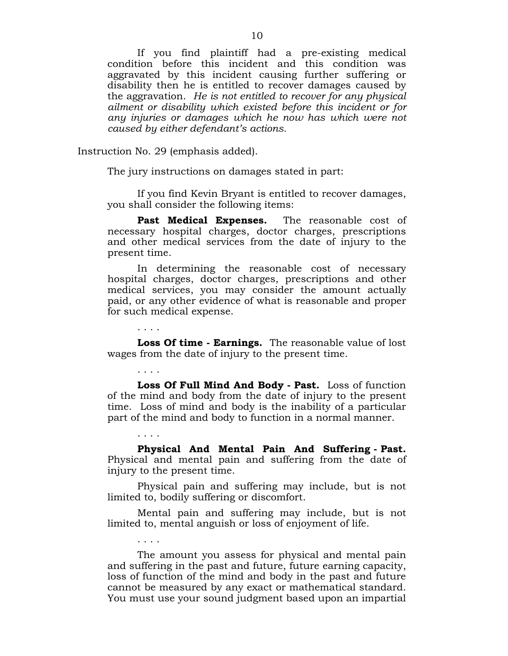If you find plaintiff had a pre-existing medical condition before this incident and this condition was aggravated by this incident causing further suffering or disability then he is entitled to recover damages caused by the aggravation. *He is not entitled to recover for any physical ailment or disability which existed before this incident or for any injuries or damages which he now has which were not caused by either defendant's actions.*

Instruction No. 29 (emphasis added).

. . . .

. . . .

. . . .

. . . .

The jury instructions on damages stated in part:

If you find Kevin Bryant is entitled to recover damages, you shall consider the following items:

**Past Medical Expenses.** The reasonable cost of necessary hospital charges, doctor charges, prescriptions and other medical services from the date of injury to the present time.

In determining the reasonable cost of necessary hospital charges, doctor charges, prescriptions and other medical services, you may consider the amount actually paid, or any other evidence of what is reasonable and proper for such medical expense.

**Loss Of time - Earnings.** The reasonable value of lost wages from the date of injury to the present time.

**Loss Of Full Mind And Body - Past.** Loss of function of the mind and body from the date of injury to the present time. Loss of mind and body is the inability of a particular part of the mind and body to function in a normal manner.

**Physical And Mental Pain And Suffering - Past.**  Physical and mental pain and suffering from the date of injury to the present time.

Physical pain and suffering may include, but is not limited to, bodily suffering or discomfort.

Mental pain and suffering may include, but is not limited to, mental anguish or loss of enjoyment of life.

The amount you assess for physical and mental pain and suffering in the past and future, future earning capacity, loss of function of the mind and body in the past and future cannot be measured by any exact or mathematical standard. You must use your sound judgment based upon an impartial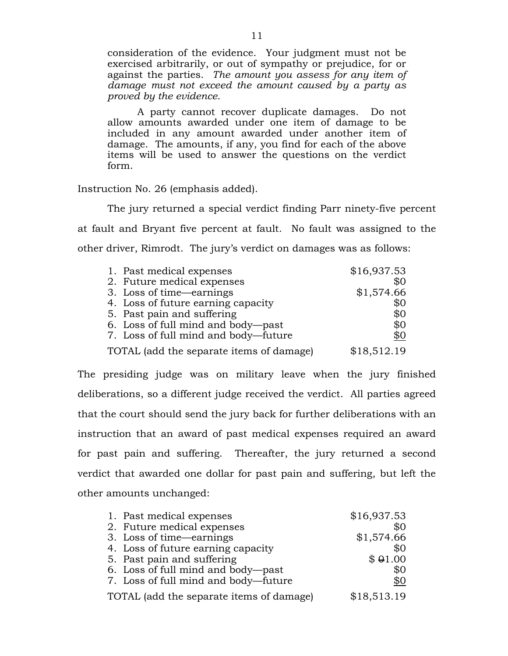consideration of the evidence. Your judgment must not be exercised arbitrarily, or out of sympathy or prejudice, for or against the parties. *The amount you assess for any item of damage must not exceed the amount caused by a party as proved by the evidence*.

A party cannot recover duplicate damages. Do not allow amounts awarded under one item of damage to be included in any amount awarded under another item of damage. The amounts, if any, you find for each of the above items will be used to answer the questions on the verdict form.

Instruction No. 26 (emphasis added).

The jury returned a special verdict finding Parr ninety-five percent at fault and Bryant five percent at fault. No fault was assigned to the other driver, Rimrodt. The jury's verdict on damages was as follows:

| 1. Past medical expenses                 | \$16,937.53 |
|------------------------------------------|-------------|
| 2. Future medical expenses               | \$0         |
| 3. Loss of time—earnings                 | \$1,574.66  |
| 4. Loss of future earning capacity       | \$0         |
| 5. Past pain and suffering               | \$0         |
| 6. Loss of full mind and body—past       | \$0         |
| 7. Loss of full mind and body-future     | \$0         |
| TOTAL (add the separate items of damage) | \$18,512.19 |

The presiding judge was on military leave when the jury finished deliberations, so a different judge received the verdict. All parties agreed that the court should send the jury back for further deliberations with an instruction that an award of past medical expenses required an award for past pain and suffering. Thereafter, the jury returned a second verdict that awarded one dollar for past pain and suffering, but left the other amounts unchanged:

| 1. Past medical expenses                 | \$16,937.53 |
|------------------------------------------|-------------|
| 2. Future medical expenses               | \$0         |
| 3. Loss of time—earnings                 | \$1,574.66  |
| 4. Loss of future earning capacity       | \$0         |
| 5. Past pain and suffering               | \$01.00     |
| 6. Loss of full mind and body-past       | \$0         |
| 7. Loss of full mind and body—future     | \$0         |
| TOTAL (add the separate items of damage) | \$18,513.19 |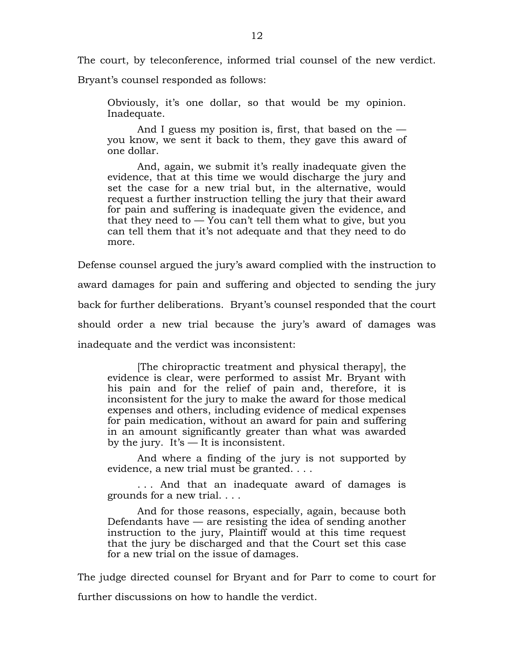The court, by teleconference, informed trial counsel of the new verdict.

Bryant's counsel responded as follows:

Obviously, it's one dollar, so that would be my opinion. Inadequate.

And I guess my position is, first, that based on the  $$ you know, we sent it back to them, they gave this award of one dollar.

And, again, we submit it's really inadequate given the evidence, that at this time we would discharge the jury and set the case for a new trial but, in the alternative, would request a further instruction telling the jury that their award for pain and suffering is inadequate given the evidence, and that they need to  $-$  You can't tell them what to give, but you can tell them that it's not adequate and that they need to do more.

Defense counsel argued the jury's award complied with the instruction to award damages for pain and suffering and objected to sending the jury back for further deliberations. Bryant's counsel responded that the court should order a new trial because the jury's award of damages was inadequate and the verdict was inconsistent:

[The chiropractic treatment and physical therapy], the evidence is clear, were performed to assist Mr. Bryant with his pain and for the relief of pain and, therefore, it is inconsistent for the jury to make the award for those medical expenses and others, including evidence of medical expenses for pain medication, without an award for pain and suffering in an amount significantly greater than what was awarded by the jury. It's  $-$  It is inconsistent.

And where a finding of the jury is not supported by evidence, a new trial must be granted. . . .

. . . And that an inadequate award of damages is grounds for a new trial. . . .

And for those reasons, especially, again, because both Defendants have  $-$  are resisting the idea of sending another instruction to the jury, Plaintiff would at this time request that the jury be discharged and that the Court set this case for a new trial on the issue of damages.

The judge directed counsel for Bryant and for Parr to come to court for further discussions on how to handle the verdict.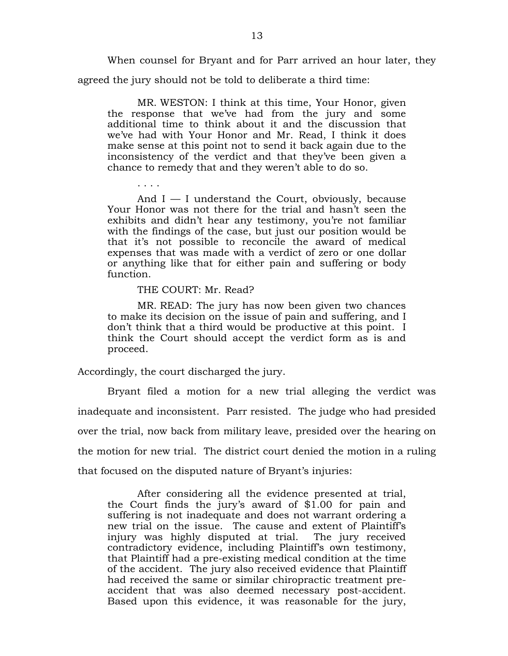When counsel for Bryant and for Parr arrived an hour later, they

agreed the jury should not be told to deliberate a third time:

MR. WESTON: I think at this time, Your Honor, given the response that we've had from the jury and some additional time to think about it and the discussion that we've had with Your Honor and Mr. Read, I think it does make sense at this point not to send it back again due to the inconsistency of the verdict and that they've been given a chance to remedy that and they weren't able to do so.

And  $I - I$  understand the Court, obviously, because Your Honor was not there for the trial and hasn't seen the exhibits and didn't hear any testimony, you're not familiar with the findings of the case, but just our position would be that it's not possible to reconcile the award of medical expenses that was made with a verdict of zero or one dollar or anything like that for either pain and suffering or body function.

THE COURT: Mr. Read?

. . . .

MR. READ: The jury has now been given two chances to make its decision on the issue of pain and suffering, and I don't think that a third would be productive at this point. I think the Court should accept the verdict form as is and proceed.

Accordingly, the court discharged the jury.

Bryant filed a motion for a new trial alleging the verdict was inadequate and inconsistent. Parr resisted. The judge who had presided over the trial, now back from military leave, presided over the hearing on the motion for new trial. The district court denied the motion in a ruling that focused on the disputed nature of Bryant's injuries:

After considering all the evidence presented at trial, the Court finds the jury's award of \$1.00 for pain and suffering is not inadequate and does not warrant ordering a new trial on the issue. The cause and extent of Plaintiff's injury was highly disputed at trial. The jury received contradictory evidence, including Plaintiff's own testimony, that Plaintiff had a pre-existing medical condition at the time of the accident. The jury also received evidence that Plaintiff had received the same or similar chiropractic treatment preaccident that was also deemed necessary post-accident. Based upon this evidence, it was reasonable for the jury,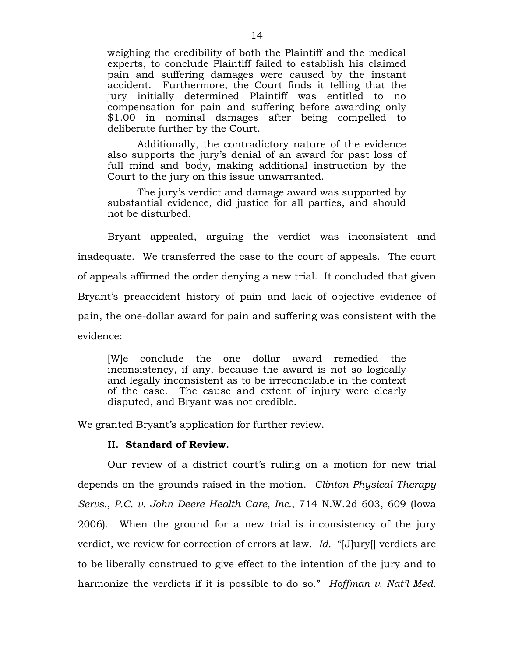weighing the credibility of both the Plaintiff and the medical experts, to conclude Plaintiff failed to establish his claimed pain and suffering damages were caused by the instant accident. Furthermore, the Court finds it telling that the jury initially determined Plaintiff was entitled to no compensation for pain and suffering before awarding only \$1.00 in nominal damages after being compelled to deliberate further by the Court.

Additionally, the contradictory nature of the evidence also supports the jury's denial of an award for past loss of full mind and body, making additional instruction by the Court to the jury on this issue unwarranted.

The jury's verdict and damage award was supported by substantial evidence, did justice for all parties, and should not be disturbed.

Bryant appealed, arguing the verdict was inconsistent and inadequate. We transferred the case to the court of appeals. The court of appeals affirmed the order denying a new trial. It concluded that given Bryant's preaccident history of pain and lack of objective evidence of pain, the one-dollar award for pain and suffering was consistent with the evidence:

[W]e conclude the one dollar award remedied the inconsistency, if any, because the award is not so logically and legally inconsistent as to be irreconcilable in the context of the case. The cause and extent of injury were clearly disputed, and Bryant was not credible.

We granted Bryant's application for further review.

#### **II. Standard of Review.**

Our review of a district court's ruling on a motion for new trial depends on the grounds raised in the motion. *Clinton Physical Therapy Servs., P.C. v. John Deere Health Care, Inc.*, 714 N.W.2d 603, 609 (Iowa 2006). When the ground for a new trial is inconsistency of the jury verdict, we review for correction of errors at law. *Id.* "[J]ury[] verdicts are to be liberally construed to give effect to the intention of the jury and to harmonize the verdicts if it is possible to do so." *Hoffman v. Nat'l Med.*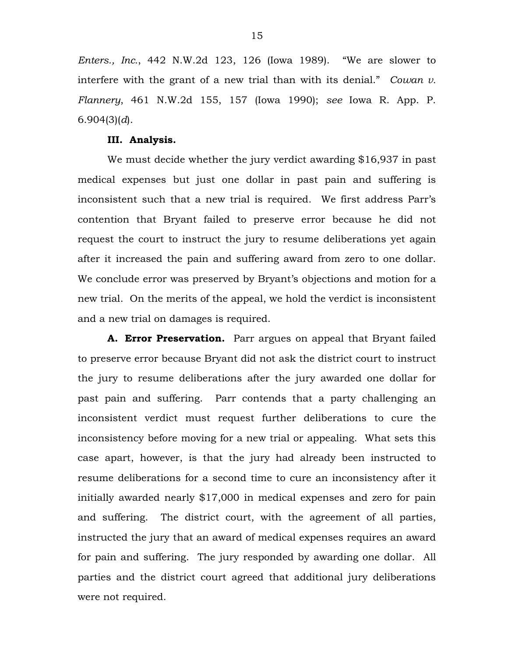*Enters., Inc.*, 442 N.W.2d 123, 126 (Iowa 1989). "We are slower to interfere with the grant of a new trial than with its denial." *Cowan v. Flannery*, 461 N.W.2d 155, 157 (Iowa 1990); *see* Iowa R. App. P. 6.904(3)(*d*).

#### **III. Analysis.**

We must decide whether the jury verdict awarding \$16,937 in past medical expenses but just one dollar in past pain and suffering is inconsistent such that a new trial is required. We first address Parr's contention that Bryant failed to preserve error because he did not request the court to instruct the jury to resume deliberations yet again after it increased the pain and suffering award from zero to one dollar. We conclude error was preserved by Bryant's objections and motion for a new trial. On the merits of the appeal, we hold the verdict is inconsistent and a new trial on damages is required.

**A. Error Preservation.** Parr argues on appeal that Bryant failed to preserve error because Bryant did not ask the district court to instruct the jury to resume deliberations after the jury awarded one dollar for past pain and suffering. Parr contends that a party challenging an inconsistent verdict must request further deliberations to cure the inconsistency before moving for a new trial or appealing. What sets this case apart, however, is that the jury had already been instructed to resume deliberations for a second time to cure an inconsistency after it initially awarded nearly \$17,000 in medical expenses and zero for pain and suffering. The district court, with the agreement of all parties, instructed the jury that an award of medical expenses requires an award for pain and suffering. The jury responded by awarding one dollar. All parties and the district court agreed that additional jury deliberations were not required.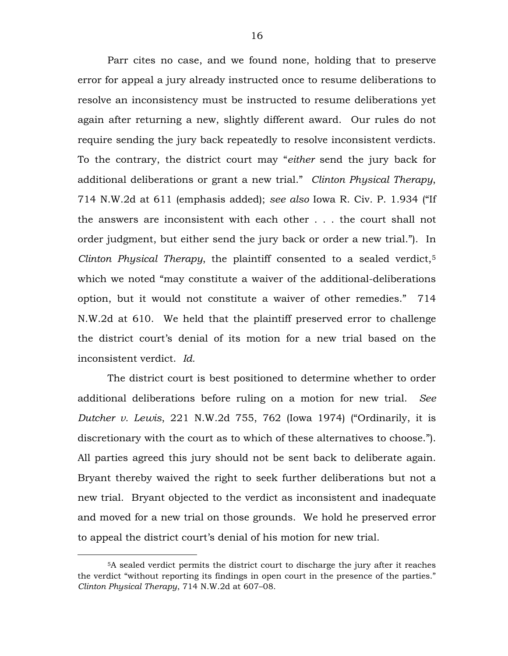Parr cites no case, and we found none, holding that to preserve error for appeal a jury already instructed once to resume deliberations to resolve an inconsistency must be instructed to resume deliberations yet again after returning a new, slightly different award. Our rules do not require sending the jury back repeatedly to resolve inconsistent verdicts. To the contrary, the district court may "*either* send the jury back for additional deliberations or grant a new trial." *Clinton Physical Therapy*, 714 N.W.2d at 611 (emphasis added); *see also* Iowa R. Civ. P. 1.934 ("If the answers are inconsistent with each other . . . the court shall not order judgment, but either send the jury back or order a new trial."). In *Clinton Physical Therapy*, the plaintiff consented to a sealed verdict,[5](#page-15-0) which we noted "may constitute a waiver of the additional-deliberations option, but it would not constitute a waiver of other remedies." 714 N.W.2d at 610. We held that the plaintiff preserved error to challenge the district court's denial of its motion for a new trial based on the inconsistent verdict. *Id.*

The district court is best positioned to determine whether to order additional deliberations before ruling on a motion for new trial. *See Dutcher v. Lewis*, 221 N.W.2d 755, 762 (Iowa 1974) ("Ordinarily, it is discretionary with the court as to which of these alternatives to choose."). All parties agreed this jury should not be sent back to deliberate again. Bryant thereby waived the right to seek further deliberations but not a new trial. Bryant objected to the verdict as inconsistent and inadequate and moved for a new trial on those grounds. We hold he preserved error to appeal the district court's denial of his motion for new trial.

 $\overline{a}$ 

<span id="page-15-0"></span><sup>5</sup>A sealed verdict permits the district court to discharge the jury after it reaches the verdict "without reporting its findings in open court in the presence of the parties." *Clinton Physical Therapy*, 714 N.W.2d at 607–08.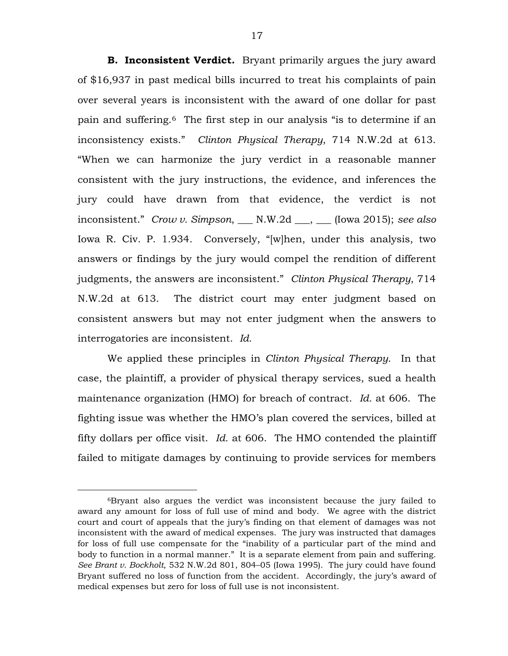**B. Inconsistent Verdict.** Bryant primarily argues the jury award of \$16,937 in past medical bills incurred to treat his complaints of pain over several years is inconsistent with the award of one dollar for past pain and suffering.[6](#page-16-0) The first step in our analysis "is to determine if an inconsistency exists." *Clinton Physical Therapy*, 714 N.W.2d at 613. "When we can harmonize the jury verdict in a reasonable manner consistent with the jury instructions, the evidence, and inferences the jury could have drawn from that evidence, the verdict is not inconsistent." *Crow v. Simpson*, \_\_\_ N.W.2d \_\_\_, \_\_\_ (Iowa 2015); *see also* Iowa R. Civ. P. 1.934. Conversely, "[w]hen, under this analysis, two answers or findings by the jury would compel the rendition of different judgments, the answers are inconsistent." *Clinton Physical Therapy*, 714 N.W.2d at 613. The district court may enter judgment based on consistent answers but may not enter judgment when the answers to interrogatories are inconsistent. *Id.*

We applied these principles in *Clinton Physical Therapy*. In that case, the plaintiff, a provider of physical therapy services, sued a health maintenance organization (HMO) for breach of contract. *Id.* at 606. The fighting issue was whether the HMO's plan covered the services, billed at fifty dollars per office visit. *Id.* at 606. The HMO contended the plaintiff failed to mitigate damages by continuing to provide services for members

 $\overline{a}$ 

<span id="page-16-0"></span><sup>6</sup>Bryant also argues the verdict was inconsistent because the jury failed to award any amount for loss of full use of mind and body. We agree with the district court and court of appeals that the jury's finding on that element of damages was not inconsistent with the award of medical expenses. The jury was instructed that damages for loss of full use compensate for the "inability of a particular part of the mind and body to function in a normal manner." It is a separate element from pain and suffering. *See Brant v. Bockholt*, 532 N.W.2d 801, 804–05 (Iowa 1995).The jury could have found Bryant suffered no loss of function from the accident. Accordingly, the jury's award of medical expenses but zero for loss of full use is not inconsistent*.*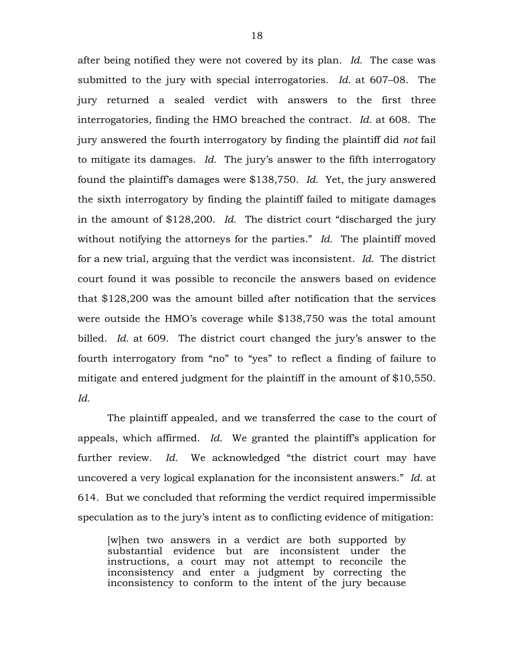after being notified they were not covered by its plan. *Id.* The case was submitted to the jury with special interrogatories. *Id.* at 607–08. The jury returned a sealed verdict with answers to the first three interrogatories, finding the HMO breached the contract. *Id.* at 608. The jury answered the fourth interrogatory by finding the plaintiff did *not* fail to mitigate its damages. *Id.* The jury's answer to the fifth interrogatory found the plaintiff's damages were \$138,750. *Id.* Yet, the jury answered the sixth interrogatory by finding the plaintiff failed to mitigate damages in the amount of \$128,200. *Id.* The district court "discharged the jury without notifying the attorneys for the parties." *Id.* The plaintiff moved for a new trial, arguing that the verdict was inconsistent. *Id.* The district court found it was possible to reconcile the answers based on evidence that \$128,200 was the amount billed after notification that the services were outside the HMO's coverage while \$138,750 was the total amount billed. *Id.* at 609. The district court changed the jury's answer to the fourth interrogatory from "no" to "yes" to reflect a finding of failure to mitigate and entered judgment for the plaintiff in the amount of \$10,550. *Id.* 

The plaintiff appealed, and we transferred the case to the court of appeals, which affirmed. *Id.* We granted the plaintiff's application for further review. *Id.* We acknowledged "the district court may have uncovered a very logical explanation for the inconsistent answers." *Id*. at 614. But we concluded that reforming the verdict required impermissible speculation as to the jury's intent as to conflicting evidence of mitigation:

[w]hen two answers in a verdict are both supported by substantial evidence but are inconsistent under the instructions, a court may not attempt to reconcile the inconsistency and enter a judgment by correcting the inconsistency to conform to the intent of the jury because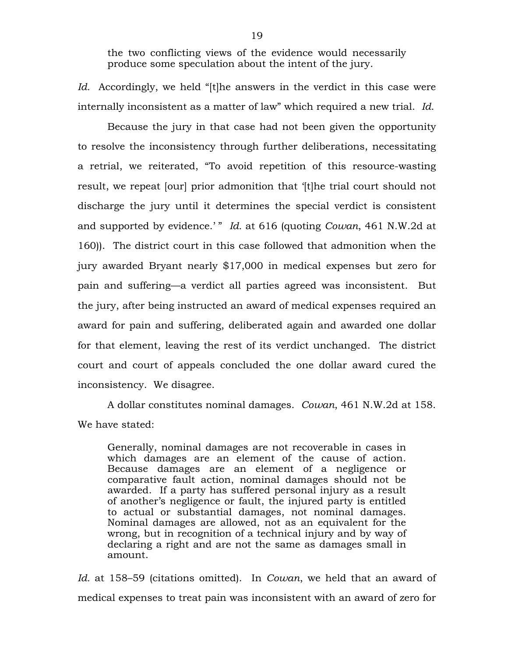the two conflicting views of the evidence would necessarily produce some speculation about the intent of the jury.

*Id.* Accordingly, we held "[t]he answers in the verdict in this case were internally inconsistent as a matter of law" which required a new trial. *Id*.

Because the jury in that case had not been given the opportunity to resolve the inconsistency through further deliberations, necessitating a retrial, we reiterated, "To avoid repetition of this resource-wasting result, we repeat [our] prior admonition that '[t]he trial court should not discharge the jury until it determines the special verdict is consistent and supported by evidence.' " *Id.* at 616 (quoting *Cowan*, 461 N.W.2d at 160)). The district court in this case followed that admonition when the jury awarded Bryant nearly \$17,000 in medical expenses but zero for pain and suffering—a verdict all parties agreed was inconsistent. But the jury, after being instructed an award of medical expenses required an award for pain and suffering, deliberated again and awarded one dollar for that element, leaving the rest of its verdict unchanged. The district court and court of appeals concluded the one dollar award cured the inconsistency. We disagree.

A dollar constitutes nominal damages. *Cowan*, 461 N.W.2d at 158. We have stated:

Generally, nominal damages are not recoverable in cases in which damages are an element of the cause of action. Because damages are an element of a negligence or comparative fault action, nominal damages should not be awarded. If a party has suffered personal injury as a result of another's negligence or fault, the injured party is entitled to actual or substantial damages, not nominal damages. Nominal damages are allowed, not as an equivalent for the wrong, but in recognition of a technical injury and by way of declaring a right and are not the same as damages small in amount.

*Id.* at 158–59 (citations omitted). In *Cowan*, we held that an award of medical expenses to treat pain was inconsistent with an award of zero for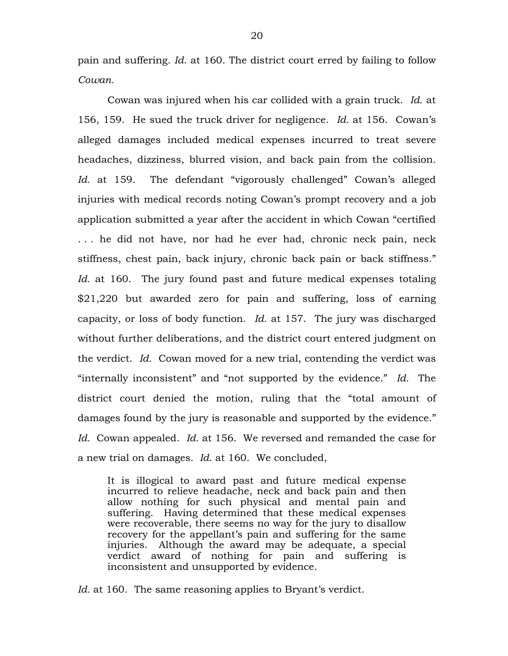pain and suffering. *Id*. at 160. The district court erred by failing to follow *Cowan.* 

Cowan was injured when his car collided with a grain truck. *Id*. at 156, 159. He sued the truck driver for negligence. *Id.* at 156. Cowan's alleged damages included medical expenses incurred to treat severe headaches, dizziness, blurred vision, and back pain from the collision. *Id.* at 159. The defendant "vigorously challenged" Cowan's alleged injuries with medical records noting Cowan's prompt recovery and a job application submitted a year after the accident in which Cowan "certified . . . he did not have, nor had he ever had, chronic neck pain, neck stiffness, chest pain, back injury, chronic back pain or back stiffness." *Id.* at 160. The jury found past and future medical expenses totaling \$21,220 but awarded zero for pain and suffering, loss of earning capacity, or loss of body function. *Id.* at 157. The jury was discharged without further deliberations, and the district court entered judgment on the verdict. *Id.* Cowan moved for a new trial, contending the verdict was "internally inconsistent" and "not supported by the evidence." *Id.* The district court denied the motion, ruling that the "total amount of damages found by the jury is reasonable and supported by the evidence." *Id.* Cowan appealed. *Id.* at 156. We reversed and remanded the case for a new trial on damages. *Id.* at 160. We concluded,

It is illogical to award past and future medical expense incurred to relieve headache, neck and back pain and then allow nothing for such physical and mental pain and suffering. Having determined that these medical expenses were recoverable, there seems no way for the jury to disallow recovery for the appellant's pain and suffering for the same injuries. Although the award may be adequate, a special verdict award of nothing for pain and suffering is inconsistent and unsupported by evidence.

*Id.* at 160. The same reasoning applies to Bryant's verdict.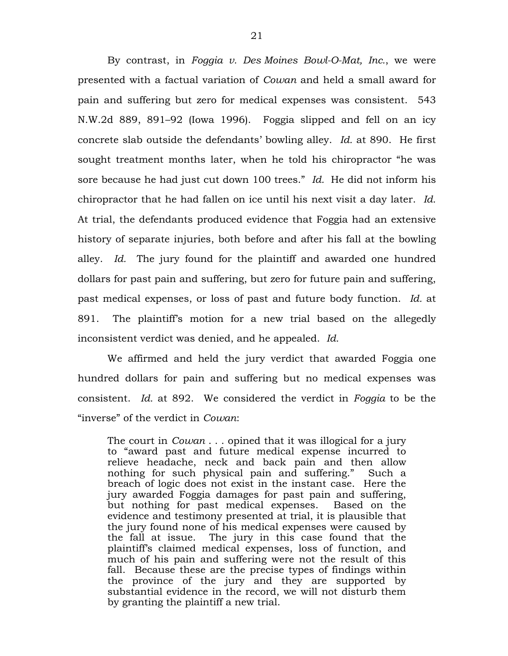By contrast, in *Foggia v. Des Moines Bowl-O-Mat, Inc.*, we were presented with a factual variation of *Cowan* and held a small award for pain and suffering but zero for medical expenses was consistent. 543 N.W.2d 889, 891–92 (Iowa 1996). Foggia slipped and fell on an icy concrete slab outside the defendants' bowling alley. *Id.* at 890. He first sought treatment months later, when he told his chiropractor "he was sore because he had just cut down 100 trees." *Id.* He did not inform his chiropractor that he had fallen on ice until his next visit a day later. *Id.*  At trial, the defendants produced evidence that Foggia had an extensive history of separate injuries, both before and after his fall at the bowling alley. *Id.* The jury found for the plaintiff and awarded one hundred dollars for past pain and suffering, but zero for future pain and suffering, past medical expenses, or loss of past and future body function. *Id.* at 891.The plaintiff's motion for a new trial based on the allegedly inconsistent verdict was denied, and he appealed. *Id.* 

We affirmed and held the jury verdict that awarded Foggia one hundred dollars for pain and suffering but no medical expenses was consistent. *Id.* at 892. We considered the verdict in *Foggia* to be the "inverse" of the verdict in *Cowan*:

The court in *Cowan* . . . opined that it was illogical for a jury to "award past and future medical expense incurred to relieve headache, neck and back pain and then allow nothing for such physical pain and suffering." Such a breach of logic does not exist in the instant case. Here the jury awarded Foggia damages for past pain and suffering, but nothing for past medical expenses. Based on the evidence and testimony presented at trial, it is plausible that the jury found none of his medical expenses were caused by the fall at issue. The jury in this case found that the plaintiff's claimed medical expenses, loss of function, and much of his pain and suffering were not the result of this fall. Because these are the precise types of findings within the province of the jury and they are supported by substantial evidence in the record, we will not disturb them by granting the plaintiff a new trial.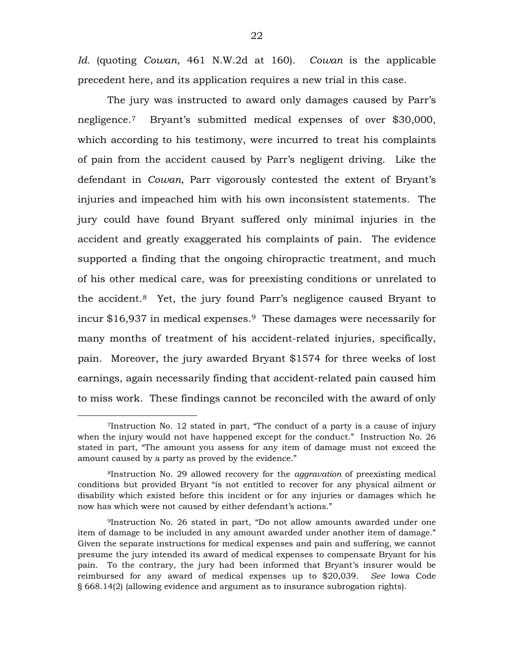*Id.* (quoting *Cowan*, 461 N.W.2d at 160). *Cowan* is the applicable precedent here, and its application requires a new trial in this case.

The jury was instructed to award only damages caused by Parr's negligence.[7](#page-21-0) Bryant's submitted medical expenses of over \$30,000, which according to his testimony, were incurred to treat his complaints of pain from the accident caused by Parr's negligent driving. Like the defendant in *Cowan*, Parr vigorously contested the extent of Bryant's injuries and impeached him with his own inconsistent statements. The jury could have found Bryant suffered only minimal injuries in the accident and greatly exaggerated his complaints of pain. The evidence supported a finding that the ongoing chiropractic treatment, and much of his other medical care, was for preexisting conditions or unrelated to the accident.[8](#page-21-1) Yet, the jury found Parr's negligence caused Bryant to incur \$16,937 in medical expenses[.9](#page-21-2) These damages were necessarily for many months of treatment of his accident-related injuries, specifically, pain. Moreover, the jury awarded Bryant \$1574 for three weeks of lost earnings, again necessarily finding that accident-related pain caused him to miss work. These findings cannot be reconciled with the award of only

 $\overline{a}$ 

<span id="page-21-0"></span><sup>7</sup>Instruction No. 12 stated in part, "The conduct of a party is a cause of injury when the injury would not have happened except for the conduct." Instruction No. 26 stated in part, "The amount you assess for any item of damage must not exceed the amount caused by a party as proved by the evidence."

<span id="page-21-1"></span><sup>8</sup>Instruction No. 29 allowed recovery for the *aggravation* of preexisting medical conditions but provided Bryant "is not entitled to recover for any physical ailment or disability which existed before this incident or for any injuries or damages which he now has which were not caused by either defendant's actions."

<span id="page-21-2"></span><sup>9</sup>Instruction No. 26 stated in part, "Do not allow amounts awarded under one item of damage to be included in any amount awarded under another item of damage." Given the separate instructions for medical expenses and pain and suffering, we cannot presume the jury intended its award of medical expenses to compensate Bryant for his pain. To the contrary, the jury had been informed that Bryant's insurer would be reimbursed for any award of medical expenses up to \$20,039. *See* Iowa Code § 668.14(2) (allowing evidence and argument as to insurance subrogation rights).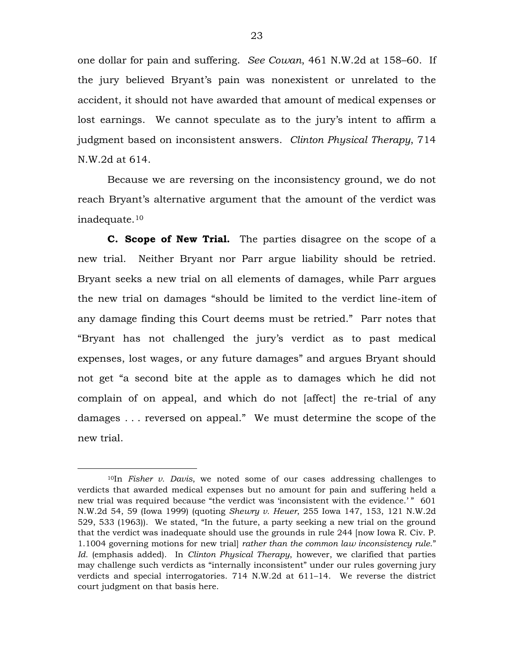one dollar for pain and suffering. *See Cowan*, 461 N.W.2d at 158–60. If the jury believed Bryant's pain was nonexistent or unrelated to the accident, it should not have awarded that amount of medical expenses or lost earnings. We cannot speculate as to the jury's intent to affirm a judgment based on inconsistent answers. *Clinton Physical Therapy*, 714 N.W.2d at 614.

Because we are reversing on the inconsistency ground, we do not reach Bryant's alternative argument that the amount of the verdict was inadequate.[10](#page-22-0)

**C. Scope of New Trial.**The parties disagree on the scope of a new trial. Neither Bryant nor Parr argue liability should be retried. Bryant seeks a new trial on all elements of damages, while Parr argues the new trial on damages "should be limited to the verdict line-item of any damage finding this Court deems must be retried." Parr notes that "Bryant has not challenged the jury's verdict as to past medical expenses, lost wages, or any future damages" and argues Bryant should not get "a second bite at the apple as to damages which he did not complain of on appeal, and which do not [affect] the re-trial of any damages . . . reversed on appeal." We must determine the scope of the new trial.

 $\overline{a}$ 

<span id="page-22-0"></span><sup>10</sup>In *Fisher v. Davis*, we noted some of our cases addressing challenges to verdicts that awarded medical expenses but no amount for pain and suffering held a new trial was required because "the verdict was 'inconsistent with the evidence.'" 601 N.W.2d 54, 59 (Iowa 1999) (quoting *Shewry v. Heuer*, 255 Iowa 147, 153, 121 N.W.2d 529, 533 (1963)). We stated, "In the future, a party seeking a new trial on the ground that the verdict was inadequate should use the grounds in rule 244 [now Iowa R. Civ. P. 1.1004 governing motions for new trial] *rather than the common law inconsistency rule*." *Id.* (emphasis added). In *Clinton Physical Therapy*, however, we clarified that parties may challenge such verdicts as "internally inconsistent" under our rules governing jury verdicts and special interrogatories. 714 N.W.2d at 611–14. We reverse the district court judgment on that basis here.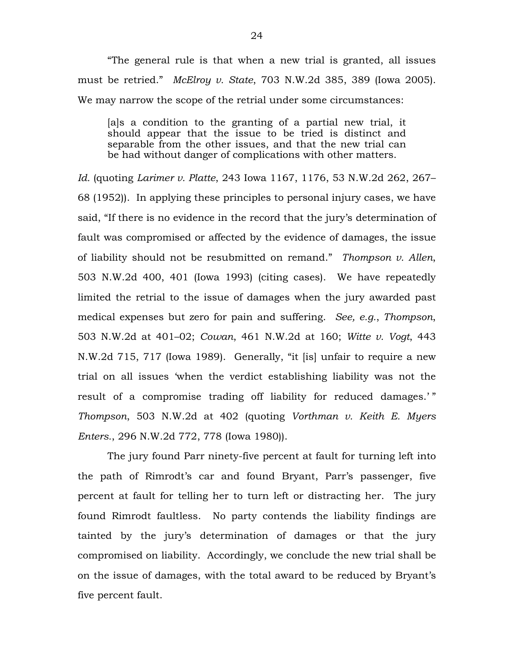"The general rule is that when a new trial is granted, all issues must be retried." *McElroy v. State*, 703 N.W.2d 385, 389 (Iowa 2005). We may narrow the scope of the retrial under some circumstances:

[a]s a condition to the granting of a partial new trial, it should appear that the issue to be tried is distinct and separable from the other issues, and that the new trial can be had without danger of complications with other matters.

*Id.* (quoting *Larimer v. Platte*, 243 Iowa 1167, 1176, 53 N.W.2d 262, 267– 68 (1952)). In applying these principles to personal injury cases, we have said, "If there is no evidence in the record that the jury's determination of fault was compromised or affected by the evidence of damages, the issue of liability should not be resubmitted on remand." *Thompson v. Allen*, 503 N.W.2d 400, 401 (Iowa 1993) (citing cases). We have repeatedly limited the retrial to the issue of damages when the jury awarded past medical expenses but zero for pain and suffering. *See, e.g.*, *Thompson*, 503 N.W.2d at 401–02; *Cowan*, 461 N.W.2d at 160; *Witte v. Vogt*, 443 N.W.2d 715, 717 (Iowa 1989). Generally, "it [is] unfair to require a new trial on all issues 'when the verdict establishing liability was not the result of a compromise trading off liability for reduced damages.'" *Thompson*, 503 N.W.2d at 402 (quoting *Vorthman v. Keith E. Myers Enters.*, 296 N.W.2d 772, 778 (Iowa 1980)).

The jury found Parr ninety-five percent at fault for turning left into the path of Rimrodt's car and found Bryant, Parr's passenger, five percent at fault for telling her to turn left or distracting her. The jury found Rimrodt faultless. No party contends the liability findings are tainted by the jury's determination of damages or that the jury compromised on liability. Accordingly, we conclude the new trial shall be on the issue of damages, with the total award to be reduced by Bryant's five percent fault.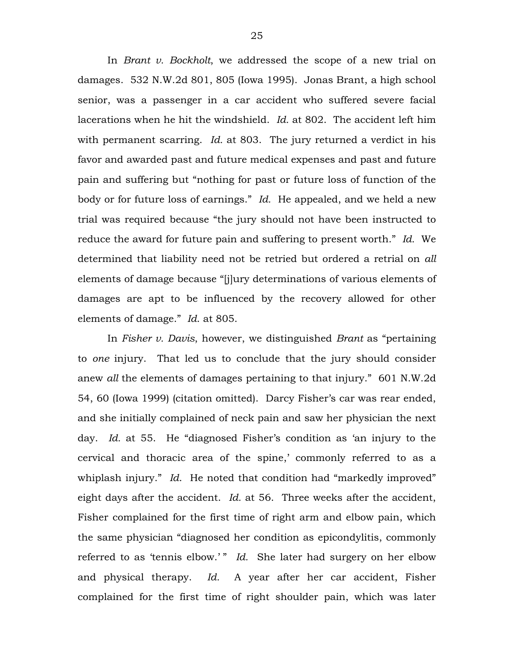In *Brant v. Bockholt*, we addressed the scope of a new trial on damages. 532 N.W.2d 801, 805 (Iowa 1995). Jonas Brant, a high school senior, was a passenger in a car accident who suffered severe facial lacerations when he hit the windshield. *Id.* at 802. The accident left him with permanent scarring. *Id.* at 803. The jury returned a verdict in his favor and awarded past and future medical expenses and past and future pain and suffering but "nothing for past or future loss of function of the body or for future loss of earnings." *Id.* He appealed, and we held a new trial was required because "the jury should not have been instructed to reduce the award for future pain and suffering to present worth." *Id.* We determined that liability need not be retried but ordered a retrial on *all* elements of damage because "[j]ury determinations of various elements of damages are apt to be influenced by the recovery allowed for other elements of damage." *Id*. at 805.

In *Fisher v. Davis*, however, we distinguished *Brant* as "pertaining to *one* injury. That led us to conclude that the jury should consider anew *all* the elements of damages pertaining to that injury." 601 N.W.2d 54, 60 (Iowa 1999) (citation omitted). Darcy Fisher's car was rear ended, and she initially complained of neck pain and saw her physician the next day. *Id.* at 55. He "diagnosed Fisher's condition as 'an injury to the cervical and thoracic area of the spine,' commonly referred to as a whiplash injury." *Id*. He noted that condition had "markedly improved" eight days after the accident. *Id.* at 56. Three weeks after the accident, Fisher complained for the first time of right arm and elbow pain, which the same physician "diagnosed her condition as epicondylitis, commonly referred to as 'tennis elbow.' " *Id.* She later had surgery on her elbow and physical therapy. *Id.* A year after her car accident, Fisher complained for the first time of right shoulder pain, which was later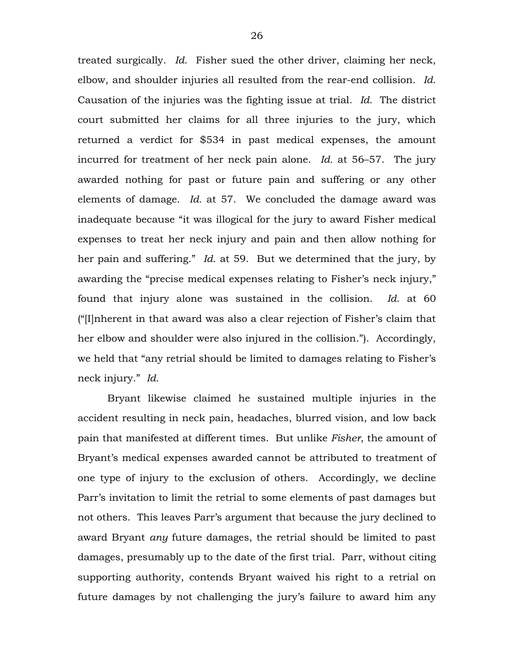treated surgically. *Id.* Fisher sued the other driver, claiming her neck, elbow, and shoulder injuries all resulted from the rear-end collision. *Id.*  Causation of the injuries was the fighting issue at trial. *Id.* The district court submitted her claims for all three injuries to the jury, which returned a verdict for \$534 in past medical expenses, the amount incurred for treatment of her neck pain alone. *Id.* at 56–57. The jury awarded nothing for past or future pain and suffering or any other elements of damage. *Id.* at 57. We concluded the damage award was inadequate because "it was illogical for the jury to award Fisher medical expenses to treat her neck injury and pain and then allow nothing for her pain and suffering." *Id*. at 59. But we determined that the jury, by awarding the "precise medical expenses relating to Fisher's neck injury," found that injury alone was sustained in the collision. *Id*. at 60 ("[I]nherent in that award was also a clear rejection of Fisher's claim that her elbow and shoulder were also injured in the collision."). Accordingly, we held that "any retrial should be limited to damages relating to Fisher's neck injury." *Id.*

Bryant likewise claimed he sustained multiple injuries in the accident resulting in neck pain, headaches, blurred vision, and low back pain that manifested at different times. But unlike *Fisher*, the amount of Bryant's medical expenses awarded cannot be attributed to treatment of one type of injury to the exclusion of others. Accordingly, we decline Parr's invitation to limit the retrial to some elements of past damages but not others. This leaves Parr's argument that because the jury declined to award Bryant *any* future damages, the retrial should be limited to past damages, presumably up to the date of the first trial. Parr, without citing supporting authority, contends Bryant waived his right to a retrial on future damages by not challenging the jury's failure to award him any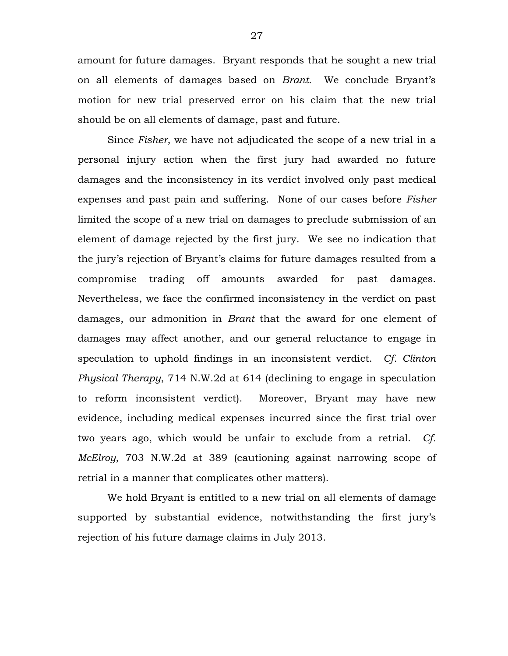amount for future damages. Bryant responds that he sought a new trial on all elements of damages based on *Brant.* We conclude Bryant's motion for new trial preserved error on his claim that the new trial should be on all elements of damage, past and future.

Since *Fisher*, we have not adjudicated the scope of a new trial in a personal injury action when the first jury had awarded no future damages and the inconsistency in its verdict involved only past medical expenses and past pain and suffering. None of our cases before *Fisher* limited the scope of a new trial on damages to preclude submission of an element of damage rejected by the first jury. We see no indication that the jury's rejection of Bryant's claims for future damages resulted from a compromise trading off amounts awarded for past damages. Nevertheless, we face the confirmed inconsistency in the verdict on past damages, our admonition in *Brant* that the award for one element of damages may affect another, and our general reluctance to engage in speculation to uphold findings in an inconsistent verdict. *Cf. Clinton Physical Therapy*, 714 N.W.2d at 614 (declining to engage in speculation to reform inconsistent verdict). Moreover, Bryant may have new evidence, including medical expenses incurred since the first trial over two years ago, which would be unfair to exclude from a retrial. *Cf. McElroy*, 703 N.W.2d at 389 (cautioning against narrowing scope of retrial in a manner that complicates other matters).

We hold Bryant is entitled to a new trial on all elements of damage supported by substantial evidence, notwithstanding the first jury's rejection of his future damage claims in July 2013.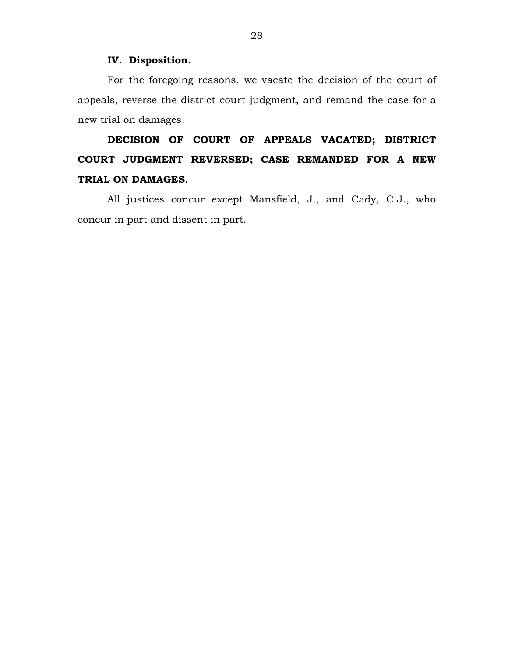#### **IV. Disposition.**

For the foregoing reasons, we vacate the decision of the court of appeals, reverse the district court judgment, and remand the case for a new trial on damages.

# **DECISION OF COURT OF APPEALS VACATED; DISTRICT COURT JUDGMENT REVERSED; CASE REMANDED FOR A NEW TRIAL ON DAMAGES.**

All justices concur except Mansfield, J., and Cady, C.J., who concur in part and dissent in part.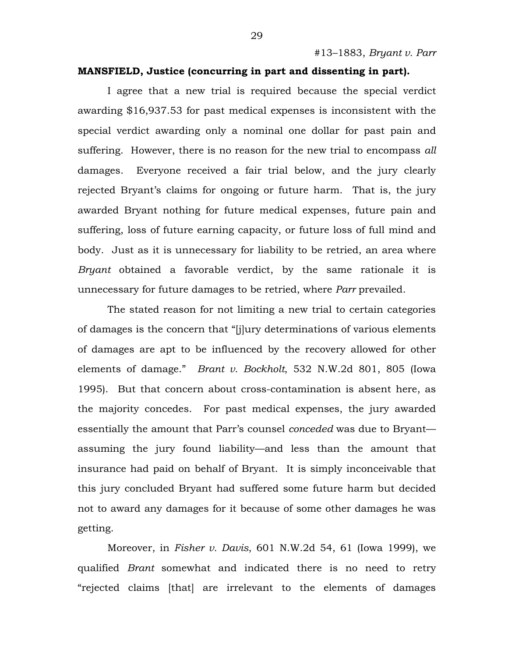#### **MANSFIELD, Justice (concurring in part and dissenting in part).**

I agree that a new trial is required because the special verdict awarding \$16,937.53 for past medical expenses is inconsistent with the special verdict awarding only a nominal one dollar for past pain and suffering. However, there is no reason for the new trial to encompass *all* damages. Everyone received a fair trial below, and the jury clearly rejected Bryant's claims for ongoing or future harm. That is, the jury awarded Bryant nothing for future medical expenses, future pain and suffering, loss of future earning capacity, or future loss of full mind and body. Just as it is unnecessary for liability to be retried, an area where *Bryant* obtained a favorable verdict, by the same rationale it is unnecessary for future damages to be retried, where *Parr* prevailed.

The stated reason for not limiting a new trial to certain categories of damages is the concern that "[j]ury determinations of various elements of damages are apt to be influenced by the recovery allowed for other elements of damage." *Brant v. Bockholt*, 532 N.W.2d 801, 805 (Iowa 1995). But that concern about cross-contamination is absent here, as the majority concedes. For past medical expenses, the jury awarded essentially the amount that Parr's counsel *conceded* was due to Bryant assuming the jury found liability—and less than the amount that insurance had paid on behalf of Bryant. It is simply inconceivable that this jury concluded Bryant had suffered some future harm but decided not to award any damages for it because of some other damages he was getting.

Moreover, in *Fisher v. Davis*, 601 N.W.2d 54, 61 (Iowa 1999), we qualified *Brant* somewhat and indicated there is no need to retry "rejected claims [that] are irrelevant to the elements of damages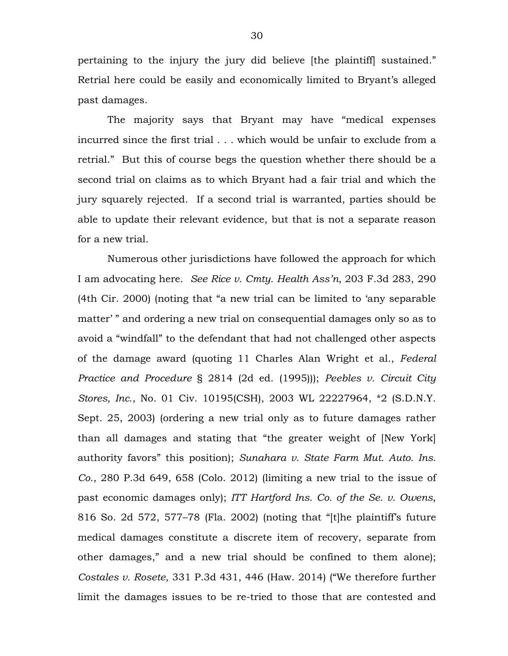pertaining to the injury the jury did believe [the plaintiff] sustained." Retrial here could be easily and economically limited to Bryant's alleged past damages.

The majority says that Bryant may have "medical expenses incurred since the first trial . . . which would be unfair to exclude from a retrial." But this of course begs the question whether there should be a second trial on claims as to which Bryant had a fair trial and which the jury squarely rejected. If a second trial is warranted, parties should be able to update their relevant evidence, but that is not a separate reason for a new trial.

Numerous other jurisdictions have followed the approach for which I am advocating here. *See Rice v. Cmty. Health Ass'n*, 203 F.3d 283, 290 (4th Cir. 2000) (noting that "a new trial can be limited to 'any separable matter' " and ordering a new trial on consequential damages only so as to avoid a "windfall" to the defendant that had not challenged other aspects of the damage award (quoting 11 Charles Alan Wright et al., *Federal Practice and Procedure* § 2814 (2d ed. (1995))); *Peebles v. Circuit City Stores, Inc*., No. 01 Civ. 10195(CSH), 2003 WL 22227964, \*2 (S.D.N.Y. Sept. 25, 2003) (ordering a new trial only as to future damages rather than all damages and stating that "the greater weight of [New York] authority favors" this position); *Sunahara v. State Farm Mut. Auto. Ins. Co*., 280 P.3d 649, 658 (Colo. 2012) (limiting a new trial to the issue of past economic damages only); *ITT Hartford Ins. Co. of the Se. v. Owens*, 816 So. 2d 572, 577–78 (Fla. 2002) (noting that "[t]he plaintiff's future medical damages constitute a discrete item of recovery, separate from other damages," and a new trial should be confined to them alone); *Costales v. Rosete*, 331 P.3d 431, 446 (Haw. 2014) ("We therefore further limit the damages issues to be re-tried to those that are contested and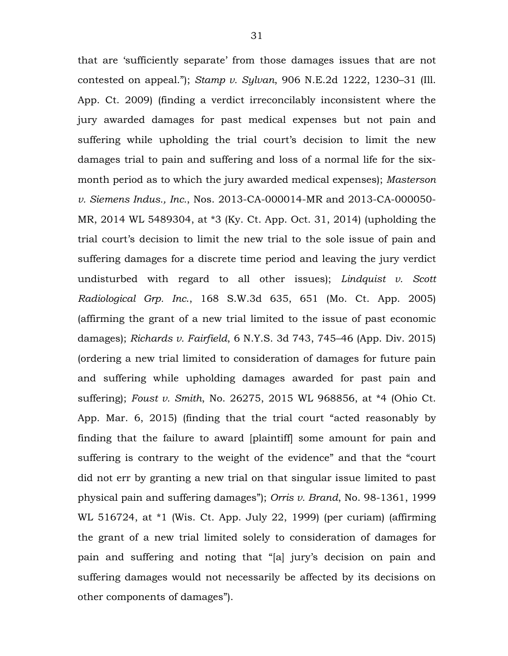that are 'sufficiently separate' from those damages issues that are not contested on appeal."); *Stamp v. Sylvan*, 906 N.E.2d 1222, 1230–31 (Ill. App. Ct. 2009) (finding a verdict irreconcilably inconsistent where the jury awarded damages for past medical expenses but not pain and suffering while upholding the trial court's decision to limit the new damages trial to pain and suffering and loss of a normal life for the sixmonth period as to which the jury awarded medical expenses); *Masterson v. Siemens Indus., Inc.*, Nos. 2013-CA-000014-MR and 2013-CA-000050- MR, 2014 WL 5489304, at \*3 (Ky. Ct. App. Oct. 31, 2014) (upholding the trial court's decision to limit the new trial to the sole issue of pain and suffering damages for a discrete time period and leaving the jury verdict undisturbed with regard to all other issues); *Lindquist v. Scott Radiological Grp. Inc*., 168 S.W.3d 635, 651 (Mo. Ct. App. 2005) (affirming the grant of a new trial limited to the issue of past economic damages); *Richards v. Fairfield*, 6 N.Y.S. 3d 743, 745–46 (App. Div. 2015) (ordering a new trial limited to consideration of damages for future pain and suffering while upholding damages awarded for past pain and suffering); *Foust v. Smith*, No. 26275, 2015 WL 968856, at \*4 (Ohio Ct. App. Mar. 6, 2015) (finding that the trial court "acted reasonably by finding that the failure to award [plaintiff] some amount for pain and suffering is contrary to the weight of the evidence" and that the "court did not err by granting a new trial on that singular issue limited to past physical pain and suffering damages"); *Orris v. Brand*, No. 98-1361, 1999 WL 516724, at \*1 (Wis. Ct. App. July 22, 1999) (per curiam) (affirming the grant of a new trial limited solely to consideration of damages for pain and suffering and noting that "[a] jury's decision on pain and suffering damages would not necessarily be affected by its decisions on other components of damages").